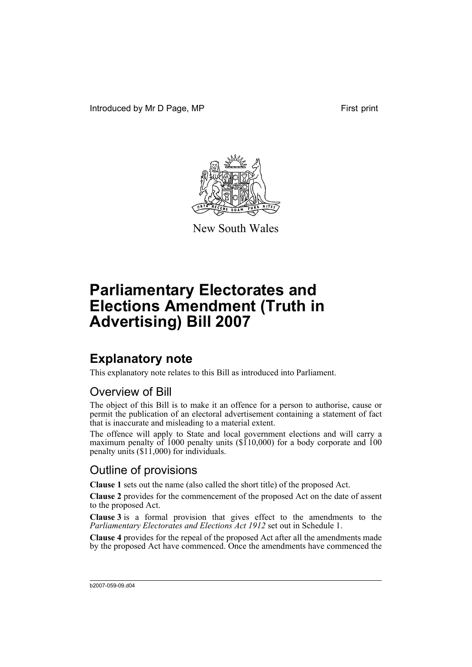Introduced by Mr D Page, MP First print



New South Wales

# **Parliamentary Electorates and Elections Amendment (Truth in Advertising) Bill 2007**

### **Explanatory note**

This explanatory note relates to this Bill as introduced into Parliament.

### Overview of Bill

The object of this Bill is to make it an offence for a person to authorise, cause or permit the publication of an electoral advertisement containing a statement of fact that is inaccurate and misleading to a material extent.

The offence will apply to State and local government elections and will carry a maximum penalty of 1000 penalty units (\$110,000) for a body corporate and 100 penalty units (\$11,000) for individuals.

### Outline of provisions

**Clause 1** sets out the name (also called the short title) of the proposed Act.

**Clause 2** provides for the commencement of the proposed Act on the date of assent to the proposed Act.

**Clause 3** is a formal provision that gives effect to the amendments to the *Parliamentary Electorates and Elections Act 1912* set out in Schedule 1.

**Clause 4** provides for the repeal of the proposed Act after all the amendments made by the proposed Act have commenced. Once the amendments have commenced the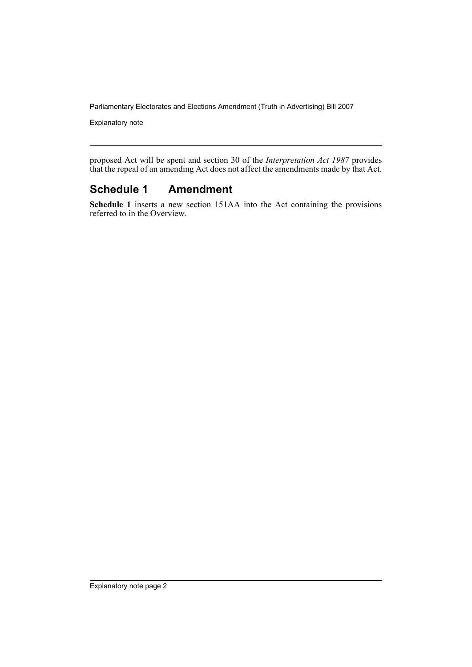Parliamentary Electorates and Elections Amendment (Truth in Advertising) Bill 2007

Explanatory note

proposed Act will be spent and section 30 of the *Interpretation Act 1987* provides that the repeal of an amending Act does not affect the amendments made by that Act.

#### **Schedule 1 Amendment**

**Schedule 1** inserts a new section 151AA into the Act containing the provisions referred to in the Overview.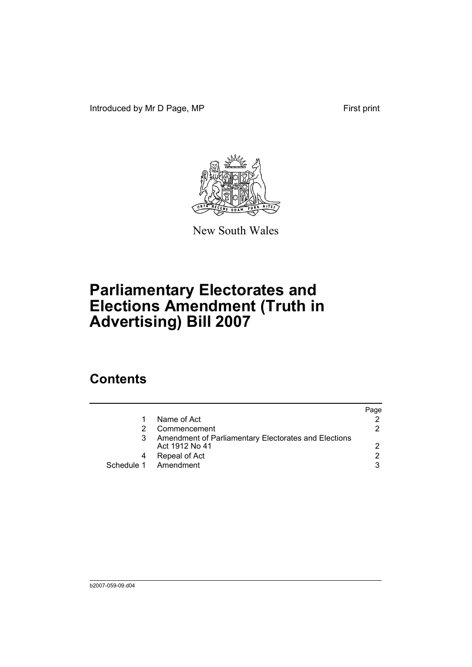Introduced by Mr D Page, MP First print



New South Wales

# **Parliamentary Electorates and Elections Amendment (Truth in Advertising) Bill 2007**

### **Contents**

|            |                                                                        | Page |
|------------|------------------------------------------------------------------------|------|
|            | Name of Act                                                            |      |
|            | Commencement                                                           | 2    |
|            | Amendment of Parliamentary Electorates and Elections<br>Act 1912 No 41 |      |
|            | Repeal of Act                                                          | 2    |
| Schedule 1 | Amendment                                                              | 3    |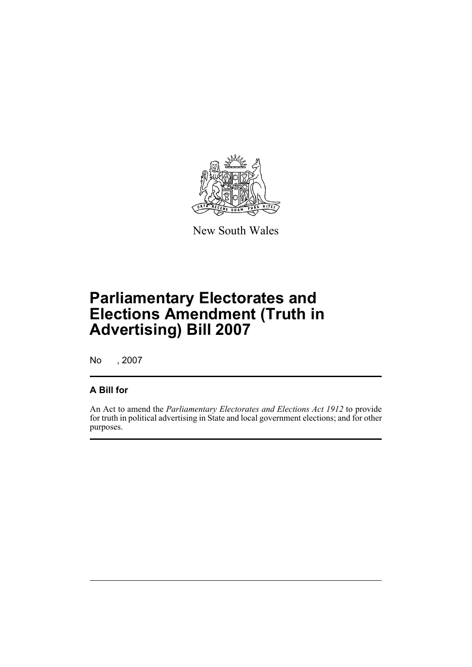

New South Wales

# **Parliamentary Electorates and Elections Amendment (Truth in Advertising) Bill 2007**

No , 2007

#### **A Bill for**

An Act to amend the *Parliamentary Electorates and Elections Act 1912* to provide for truth in political advertising in State and local government elections; and for other purposes.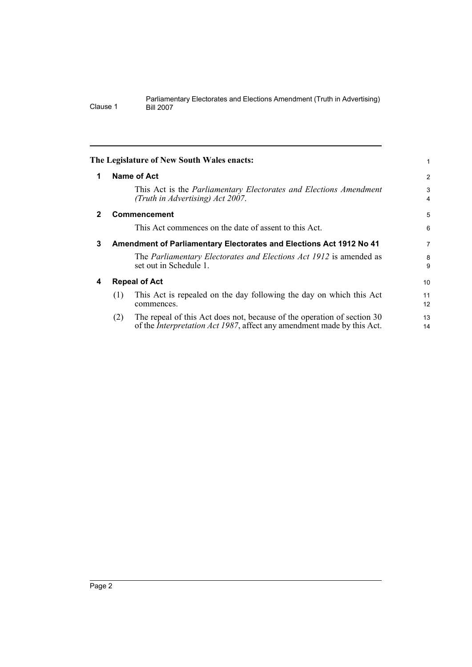<span id="page-5-3"></span><span id="page-5-2"></span><span id="page-5-1"></span><span id="page-5-0"></span>

| The Legislature of New South Wales enacts:                                                                                                                       |                |  |
|------------------------------------------------------------------------------------------------------------------------------------------------------------------|----------------|--|
| Name of Act                                                                                                                                                      | $\overline{c}$ |  |
| This Act is the Parliamentary Electorates and Elections Amendment<br>(Truth in Advertising) Act 2007.                                                            | 3<br>4         |  |
| <b>Commencement</b>                                                                                                                                              | 5              |  |
| This Act commences on the date of assent to this Act.                                                                                                            | 6              |  |
| 3<br>Amendment of Parliamentary Electorates and Elections Act 1912 No 41                                                                                         |                |  |
| The Parliamentary Electorates and Elections Act 1912 is amended as<br>set out in Schedule 1.                                                                     | 8<br>9         |  |
| <b>Repeal of Act</b><br>4                                                                                                                                        |                |  |
| This Act is repealed on the day following the day on which this Act<br>(1)<br>commences.                                                                         | 11<br>12       |  |
| The repeal of this Act does not, because of the operation of section 30<br>(2)<br>of the <i>Interpretation Act 1987</i> , affect any amendment made by this Act. | 13<br>14       |  |
|                                                                                                                                                                  |                |  |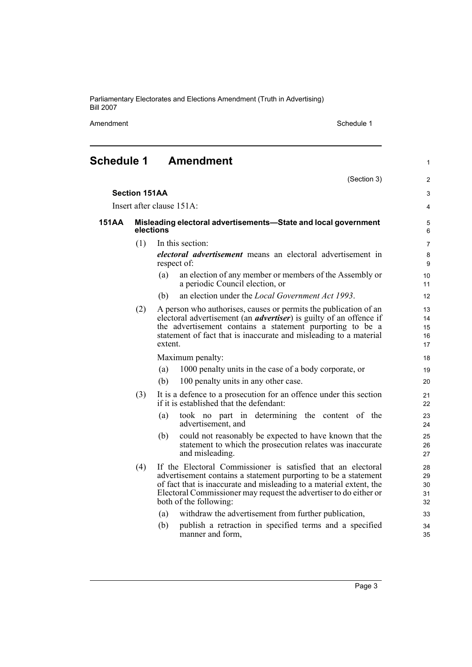Parliamentary Electorates and Elections Amendment (Truth in Advertising) Bill 2007

Amendment Schedule 1

1

### <span id="page-6-0"></span>**Schedule 1 Amendment**

|       |                      | (Section 3)                                                                                                                                                                                                                                                                                           | $\overline{2}$              |
|-------|----------------------|-------------------------------------------------------------------------------------------------------------------------------------------------------------------------------------------------------------------------------------------------------------------------------------------------------|-----------------------------|
|       | <b>Section 151AA</b> |                                                                                                                                                                                                                                                                                                       | 3                           |
|       |                      | Insert after clause 151A:                                                                                                                                                                                                                                                                             | 4                           |
| 151AA |                      | Misleading electoral advertisements-State and local government<br>elections                                                                                                                                                                                                                           | 5<br>6                      |
|       | (1)                  | In this section:                                                                                                                                                                                                                                                                                      | $\overline{7}$              |
|       |                      | electoral advertisement means an electoral advertisement in<br>respect of:                                                                                                                                                                                                                            | $\bf 8$<br>$\boldsymbol{9}$ |
|       |                      | an election of any member or members of the Assembly or<br>(a)<br>a periodic Council election, or                                                                                                                                                                                                     | 10<br>11                    |
|       |                      | an election under the <i>Local Government Act 1993</i> .<br>(b)                                                                                                                                                                                                                                       | 12                          |
|       | (2)                  | A person who authorises, causes or permits the publication of an<br>electoral advertisement (an <i>advertiser</i> ) is guilty of an offence if<br>the advertisement contains a statement purporting to be a<br>statement of fact that is inaccurate and misleading to a material<br>extent.           | 13<br>14<br>15<br>16<br>17  |
|       |                      | Maximum penalty:                                                                                                                                                                                                                                                                                      | 18                          |
|       |                      | 1000 penalty units in the case of a body corporate, or<br>(a)                                                                                                                                                                                                                                         | 19                          |
|       |                      | (b)<br>100 penalty units in any other case.                                                                                                                                                                                                                                                           | 20                          |
|       | (3)                  | It is a defence to a prosecution for an offence under this section<br>if it is established that the defendant:                                                                                                                                                                                        | 21<br>22                    |
|       |                      | took no part in determining the content of the<br>(a)<br>advertisement, and                                                                                                                                                                                                                           | 23<br>24                    |
|       |                      | could not reasonably be expected to have known that the<br>(b)<br>statement to which the prosecution relates was inaccurate<br>and misleading.                                                                                                                                                        | 25<br>26<br>27              |
|       | (4)                  | If the Electoral Commissioner is satisfied that an electoral<br>advertisement contains a statement purporting to be a statement<br>of fact that is inaccurate and misleading to a material extent, the<br>Electoral Commissioner may request the advertiser to do either or<br>both of the following: | 28<br>29<br>30<br>31<br>32  |
|       |                      | withdraw the advertisement from further publication,<br>(a)                                                                                                                                                                                                                                           | 33                          |
|       |                      | publish a retraction in specified terms and a specified<br>(b)<br>manner and form,                                                                                                                                                                                                                    | 34<br>35                    |